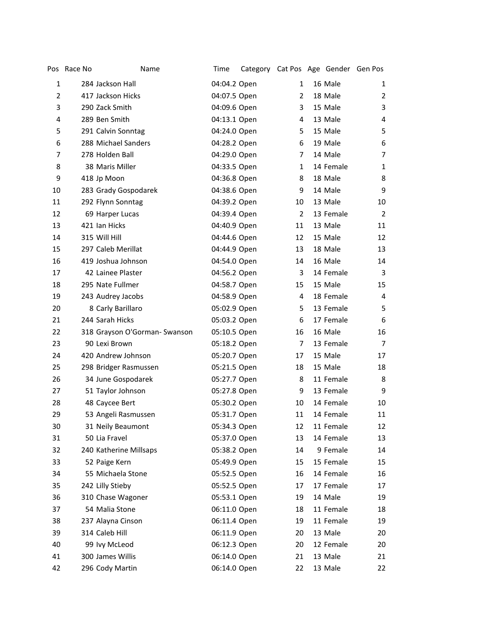|                | Pos Race No | Name                          | Time         | Category Cat Pos Age Gender Gen Pos |                |           |                |
|----------------|-------------|-------------------------------|--------------|-------------------------------------|----------------|-----------|----------------|
| $\mathbf{1}$   |             | 284 Jackson Hall              | 04:04.2 Open |                                     | 1              | 16 Male   | 1              |
| $\overline{2}$ |             | 417 Jackson Hicks             | 04:07.5 Open |                                     | 2              | 18 Male   | 2              |
| 3              |             | 290 Zack Smith                | 04:09.6 Open |                                     | 3              | 15 Male   | 3              |
| 4              |             | 289 Ben Smith                 | 04:13.1 Open |                                     | 4              | 13 Male   | 4              |
| 5              |             | 291 Calvin Sonntag            | 04:24.0 Open |                                     | 5              | 15 Male   | 5              |
| 6              |             | 288 Michael Sanders           | 04:28.2 Open |                                     | 6              | 19 Male   | 6              |
| 7              |             | 278 Holden Ball               | 04:29.0 Open |                                     | 7              | 14 Male   | 7              |
| 8              |             | 38 Maris Miller               | 04:33.5 Open |                                     | 1              | 14 Female | 1              |
| 9              |             | 418 Jp Moon                   | 04:36.8 Open |                                     | 8              | 18 Male   | 8              |
| 10             |             | 283 Grady Gospodarek          | 04:38.6 Open |                                     | 9              | 14 Male   | 9              |
| 11             |             | 292 Flynn Sonntag             | 04:39.2 Open |                                     | 10             | 13 Male   | 10             |
| 12             |             | 69 Harper Lucas               | 04:39.4 Open |                                     | $\overline{2}$ | 13 Female | $\overline{2}$ |
| 13             |             | 421 Ian Hicks                 | 04:40.9 Open |                                     | 11             | 13 Male   | 11             |
| 14             |             | 315 Will Hill                 | 04:44.6 Open |                                     | 12             | 15 Male   | 12             |
| 15             |             | 297 Caleb Merillat            | 04:44.9 Open |                                     | 13             | 18 Male   | 13             |
| 16             |             | 419 Joshua Johnson            | 04:54.0 Open |                                     | 14             | 16 Male   | 14             |
| 17             |             | 42 Lainee Plaster             | 04:56.2 Open |                                     | 3              | 14 Female | 3              |
| 18             |             | 295 Nate Fullmer              | 04:58.7 Open |                                     | 15             | 15 Male   | 15             |
| 19             |             | 243 Audrey Jacobs             | 04:58.9 Open |                                     | 4              | 18 Female | 4              |
| 20             |             | 8 Carly Barillaro             | 05:02.9 Open |                                     | 5              | 13 Female | 5              |
| 21             |             | 244 Sarah Hicks               | 05:03.2 Open |                                     | 6              | 17 Female | 6              |
| 22             |             | 318 Grayson O'Gorman- Swanson | 05:10.5 Open |                                     | 16             | 16 Male   | 16             |
| 23             |             | 90 Lexi Brown                 | 05:18.2 Open |                                     | 7              | 13 Female | $\overline{7}$ |
| 24             |             | 420 Andrew Johnson            | 05:20.7 Open |                                     | 17             | 15 Male   | 17             |
| 25             |             | 298 Bridger Rasmussen         | 05:21.5 Open |                                     | 18             | 15 Male   | 18             |
| 26             |             | 34 June Gospodarek            | 05:27.7 Open |                                     | 8              | 11 Female | 8              |
| 27             |             | 51 Taylor Johnson             | 05:27.8 Open |                                     | 9              | 13 Female | 9              |
| 28             |             | 48 Caycee Bert                | 05:30.2 Open |                                     | 10             | 14 Female | 10             |
| 29             |             | 53 Angeli Rasmussen           | 05:31.7 Open |                                     | 11             | 14 Female | 11             |
| 30             |             | 31 Neily Beaumont             | 05:34.3 Open |                                     | 12             | 11 Female | 12             |
| 31             |             | 50 Lia Fravel                 | 05:37.0 Open |                                     | 13             | 14 Female | 13             |
| 32             |             | 240 Katherine Millsaps        | 05:38.2 Open |                                     | 14             | 9 Female  | 14             |
| 33             |             | 52 Paige Kern                 | 05:49.9 Open |                                     | 15             | 15 Female | 15             |
| 34             |             | 55 Michaela Stone             | 05:52.5 Open |                                     | 16             | 14 Female | 16             |
| 35             |             | 242 Lilly Stieby              | 05:52.5 Open |                                     | 17             | 17 Female | 17             |
| 36             |             | 310 Chase Wagoner             | 05:53.1 Open |                                     | 19             | 14 Male   | 19             |
| 37             |             | 54 Malia Stone                | 06:11.0 Open |                                     | 18             | 11 Female | 18             |
| 38             |             | 237 Alayna Cinson             | 06:11.4 Open |                                     | 19             | 11 Female | 19             |
| 39             |             | 314 Caleb Hill                | 06:11.9 Open |                                     | 20             | 13 Male   | 20             |
| 40             |             | 99 Ivy McLeod                 | 06:12.3 Open |                                     | 20             | 12 Female | 20             |
| 41             |             | 300 James Willis              | 06:14.0 Open |                                     | 21             | 13 Male   | 21             |
| 42             |             | 296 Cody Martin               | 06:14.0 Open |                                     | 22             | 13 Male   | 22             |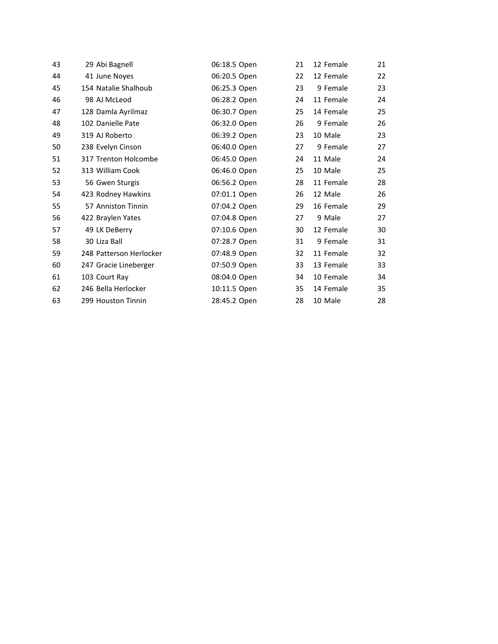| 43 | 29 Abi Bagnell          | 06:18.5 Open | 21 | 12 Female | 21 |
|----|-------------------------|--------------|----|-----------|----|
| 44 | 41 June Noyes           | 06:20.5 Open | 22 | 12 Female | 22 |
| 45 | 154 Natalie Shalhoub    | 06:25.3 Open | 23 | 9 Female  | 23 |
| 46 | 98 AJ McLeod            | 06:28.2 Open | 24 | 11 Female | 24 |
| 47 | 128 Damla Ayrilmaz      | 06:30.7 Open | 25 | 14 Female | 25 |
| 48 | 102 Danielle Pate       | 06:32.0 Open | 26 | 9 Female  | 26 |
| 49 | 319 AJ Roberto          | 06:39.2 Open | 23 | 10 Male   | 23 |
| 50 | 238 Evelyn Cinson       | 06:40.0 Open | 27 | 9 Female  | 27 |
| 51 | 317 Trenton Holcombe    | 06:45.0 Open | 24 | 11 Male   | 24 |
| 52 | 313 William Cook        | 06:46.0 Open | 25 | 10 Male   | 25 |
| 53 | 56 Gwen Sturgis         | 06:56.2 Open | 28 | 11 Female | 28 |
| 54 | 423 Rodney Hawkins      | 07:01.1 Open | 26 | 12 Male   | 26 |
| 55 | 57 Anniston Tinnin      | 07:04.2 Open | 29 | 16 Female | 29 |
| 56 | 422 Braylen Yates       | 07:04.8 Open | 27 | 9 Male    | 27 |
| 57 | 49 LK DeBerry           | 07:10.6 Open | 30 | 12 Female | 30 |
| 58 | 30 Liza Ball            | 07:28.7 Open | 31 | 9 Female  | 31 |
| 59 | 248 Patterson Herlocker | 07:48.9 Open | 32 | 11 Female | 32 |
| 60 | 247 Gracie Lineberger   | 07:50.9 Open | 33 | 13 Female | 33 |
| 61 | 103 Court Ray           | 08:04.0 Open | 34 | 10 Female | 34 |
| 62 | 246 Bella Herlocker     | 10:11.5 Open | 35 | 14 Female | 35 |
| 63 | 299 Houston Tinnin      | 28:45.2 Open | 28 | 10 Male   | 28 |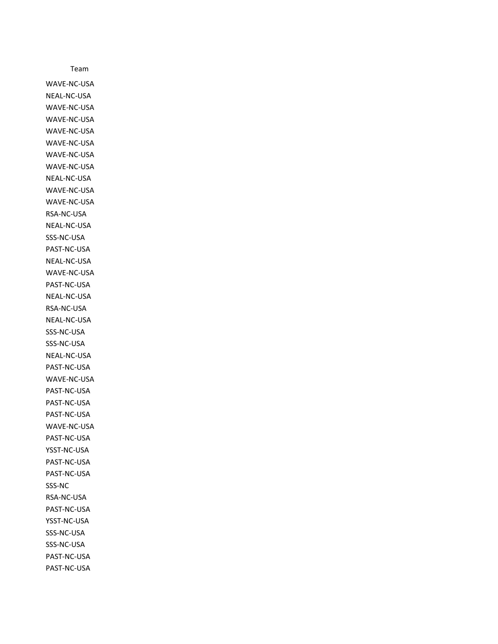WAVE-NC-USA NEAL-NC-USA WAVE-NC-USA WAVE-NC-USA WAVE-NC-USA WAVE-NC-USA WAVE-NC-USA WAVE-NC-USA NEAL-NC-USA WAVE-NC-USA WAVE-NC-USA RSA-NC-USA NEAL-NC-USA SSS-NC-USA PAST-NC-USA NEAL-NC-USA WAVE-NC-USA PAST-NC-USA NEAL-NC-USA RSA-NC-USA NEAL-NC-USA SSS-NC-USA SSS-NC-USA NEAL-NC-USA PAST-NC-USA WAVE-NC-USA PAST-NC-USA PAST-NC-USA PAST-NC-USA WAVE-NC-USA PAST-NC-USA YSST-NC-USA PAST-NC-USA PAST-NC-USA SSS-NC RSA-NC-USA PAST-NC-USA YSST-NC-USA SSS-NC-USA SSS-NC-USA PAST-NC-USA PAST-NC-USA

Team